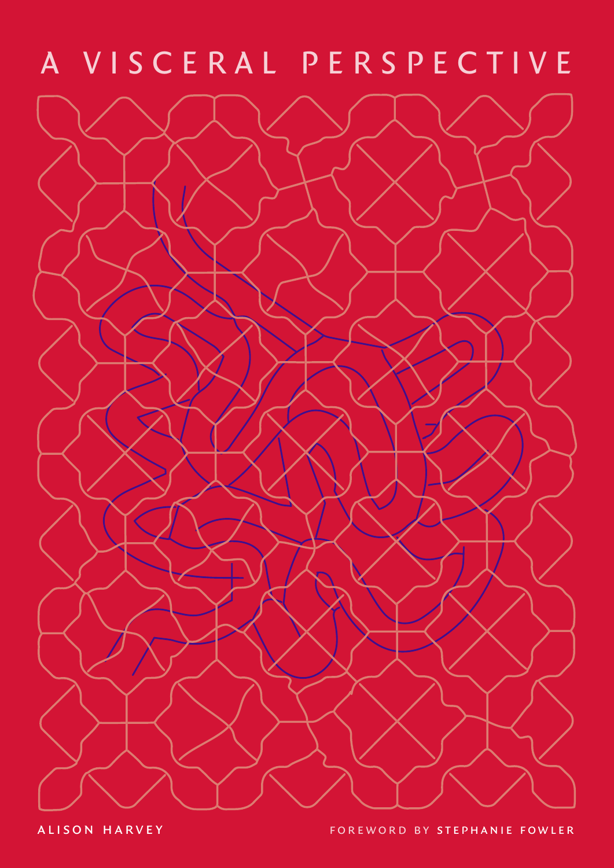# A VISCERAL PERSPECTIVE

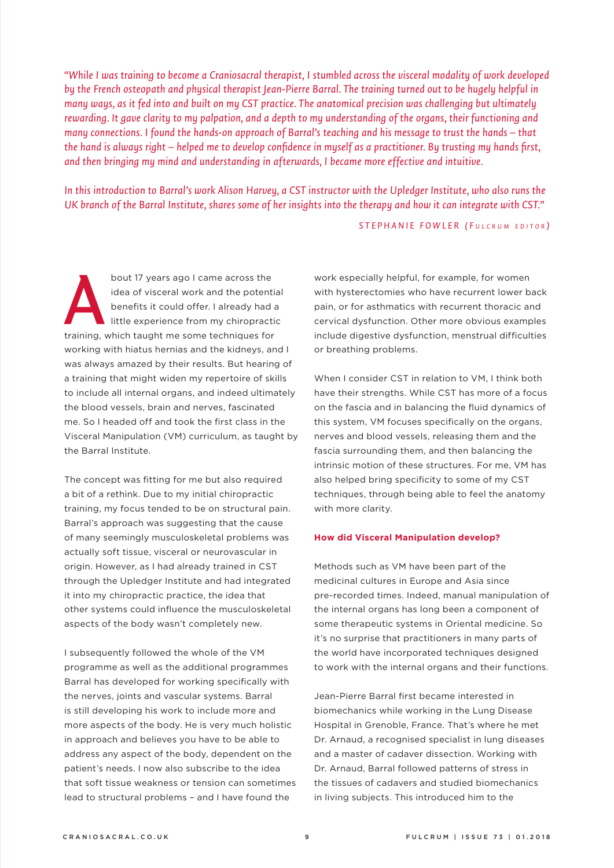*"While I was training to become a Craniosacral therapist, I stumbled across the visceral modality of work developed by the French osteopath and physical therapist Jean-Pierre Barral. The training turned out to be hugely helpful in many ways, as it fed into and built on my CST practice. The anatomical precision was challenging but ultimately rewarding. It gave clarity to my palpation, and a depth to my understanding of the organs, their functioning and many connections. I found the hands-on approach of Barral's teaching and his message to trust the hands – that the hand is always right – helped me to develop confidence in myself as a practitioner. By trusting my hands first, and then bringing my mind and understanding in afterwards, I became more effective and intuitive.* 

*In this introduction to Barral's work Alison Harvey, a CST instructor with the Upledger Institute, who also runs the UK branch of the Barral Institute, shares some of her insights into the therapy and how it can integrate with CST."*

## *STEPHANIE FOWLER ( F u l c r u m e d i t o r )*

bout 17 years ago I came across the idea of visceral work and the potential benefits it could offer. I already had a little experience from my chiropractic bout 17 years ago I came across the<br>
idea of visceral work and the potenti.<br>
benefits it could offer. I already had a<br>
little experience from my chiropracti<br>
training, which taught me some techniques for working with hiatus hernias and the kidneys, and I was always amazed by their results. But hearing of a training that might widen my repertoire of skills to include all internal organs, and indeed ultimately the blood vessels, brain and nerves, fascinated me. So I headed off and took the first class in the Visceral Manipulation (VM) curriculum, as taught by the Barral Institute.

The concept was fitting for me but also required a bit of a rethink. Due to my initial chiropractic training, my focus tended to be on structural pain. Barral's approach was suggesting that the cause of many seemingly musculoskeletal problems was actually soft tissue, visceral or neurovascular in origin. However, as I had already trained in CST through the Upledger Institute and had integrated it into my chiropractic practice, the idea that other systems could influence the musculoskeletal aspects of the body wasn't completely new.

I subsequently followed the whole of the VM programme as well as the additional programmes Barral has developed for working specifically with the nerves, joints and vascular systems. Barral is still developing his work to include more and more aspects of the body. He is very much holistic in approach and believes you have to be able to address any aspect of the body, dependent on the patient's needs. I now also subscribe to the idea that soft tissue weakness or tension can sometimes lead to structural problems – and I have found the

work especially helpful, for example, for women with hysterectomies who have recurrent lower back pain, or for asthmatics with recurrent thoracic and cervical dysfunction. Other more obvious examples include digestive dysfunction, menstrual difficulties or breathing problems.

When I consider CST in relation to VM, I think both have their strengths. While CST has more of a focus on the fascia and in balancing the fluid dynamics of this system, VM focuses specifically on the organs, nerves and blood vessels, releasing them and the fascia surrounding them, and then balancing the intrinsic motion of these structures. For me, VM has also helped bring specificity to some of my CST techniques, through being able to feel the anatomy with more clarity.

### **How did Visceral Manipulation develop?**

Methods such as VM have been part of the medicinal cultures in Europe and Asia since pre-recorded times. Indeed, manual manipulation of the internal organs has long been a component of some therapeutic systems in Oriental medicine. So it's no surprise that practitioners in many parts of the world have incorporated techniques designed to work with the internal organs and their functions.

Jean-Pierre Barral first became interested in biomechanics while working in the Lung Disease Hospital in Grenoble, France. That's where he met Dr. Arnaud, a recognised specialist in lung diseases and a master of cadaver dissection. Working with Dr. Arnaud, Barral followed patterns of stress in the tissues of cadavers and studied biomechanics in living subjects. This introduced him to the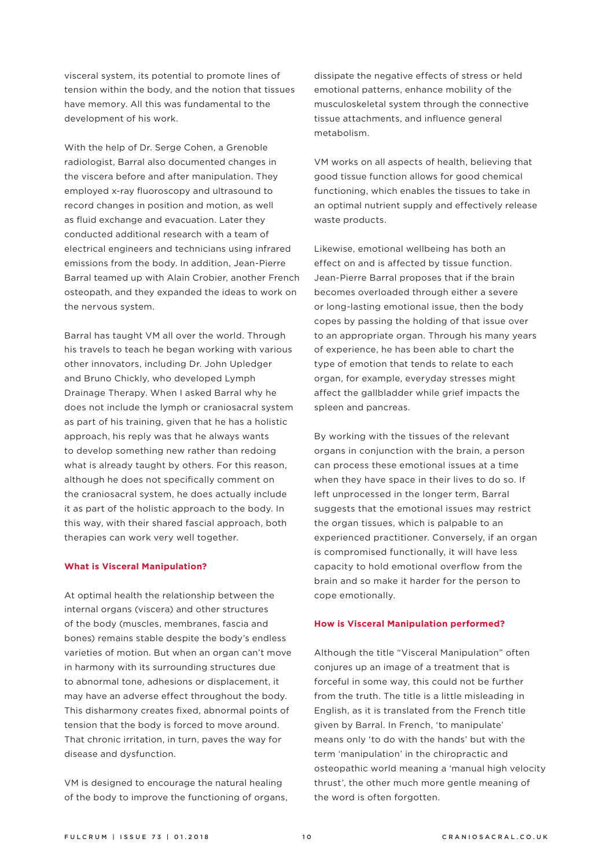visceral system, its potential to promote lines of tension within the body, and the notion that tissues have memory. All this was fundamental to the development of his work.

With the help of Dr. Serge Cohen, a Grenoble radiologist, Barral also documented changes in the viscera before and after manipulation. They employed x-ray fluoroscopy and ultrasound to record changes in position and motion, as well as fluid exchange and evacuation. Later they conducted additional research with a team of electrical engineers and technicians using infrared emissions from the body. In addition, Jean-Pierre Barral teamed up with Alain Crobier, another French osteopath, and they expanded the ideas to work on the nervous system.

Barral has taught VM all over the world. Through his travels to teach he began working with various other innovators, including Dr. John Upledger and Bruno Chickly, who developed Lymph Drainage Therapy. When I asked Barral why he does not include the lymph or craniosacral system as part of his training, given that he has a holistic approach, his reply was that he always wants to develop something new rather than redoing what is already taught by others. For this reason, although he does not specifically comment on the craniosacral system, he does actually include it as part of the holistic approach to the body. In this way, with their shared fascial approach, both therapies can work very well together.

#### **What is Visceral Manipulation?**

At optimal health the relationship between the internal organs (viscera) and other structures of the body (muscles, membranes, fascia and bones) remains stable despite the body's endless varieties of motion. But when an organ can't move in harmony with its surrounding structures due to abnormal tone, adhesions or displacement, it may have an adverse effect throughout the body. This disharmony creates fixed, abnormal points of tension that the body is forced to move around. That chronic irritation, in turn, paves the way for disease and dysfunction.

VM is designed to encourage the natural healing of the body to improve the functioning of organs,

dissipate the negative effects of stress or held emotional patterns, enhance mobility of the musculoskeletal system through the connective tissue attachments, and influence general metabolism.

VM works on all aspects of health, believing that good tissue function allows for good chemical functioning, which enables the tissues to take in an optimal nutrient supply and effectively release waste products.

Likewise, emotional wellbeing has both an effect on and is affected by tissue function. Jean-Pierre Barral proposes that if the brain becomes overloaded through either a severe or long-lasting emotional issue, then the body copes by passing the holding of that issue over to an appropriate organ. Through his many years of experience, he has been able to chart the type of emotion that tends to relate to each organ, for example, everyday stresses might affect the gallbladder while grief impacts the spleen and pancreas.

By working with the tissues of the relevant organs in conjunction with the brain, a person can process these emotional issues at a time when they have space in their lives to do so. If left unprocessed in the longer term, Barral suggests that the emotional issues may restrict the organ tissues, which is palpable to an experienced practitioner. Conversely, if an organ is compromised functionally, it will have less capacity to hold emotional overflow from the brain and so make it harder for the person to cope emotionally.

#### **How is Visceral Manipulation performed?**

Although the title "Visceral Manipulation" often conjures up an image of a treatment that is forceful in some way, this could not be further from the truth. The title is a little misleading in English, as it is translated from the French title given by Barral. In French, 'to manipulate' means only 'to do with the hands' but with the term 'manipulation' in the chiropractic and osteopathic world meaning a 'manual high velocity thrust', the other much more gentle meaning of the word is often forgotten.